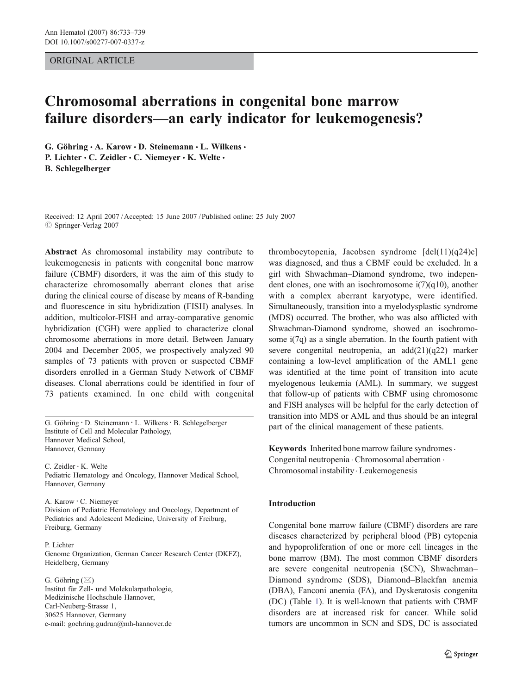# ORIGINAL ARTICLE

# Chromosomal aberrations in congenital bone marrow failure disorders*—*an early indicator for leukemogenesis?

G. Göhring · A. Karow · D. Steinemann · L. Wilkens · P. Lichter · C. Zeidler · C. Niemeyer · K. Welte · B. Schlegelberger

Received: 12 April 2007 /Accepted: 15 June 2007 / Published online: 25 July 2007  $\oslash$  Springer-Verlag 2007

Abstract As chromosomal instability may contribute to leukemogenesis in patients with congenital bone marrow failure (CBMF) disorders, it was the aim of this study to characterize chromosomally aberrant clones that arise during the clinical course of disease by means of R-banding and fluorescence in situ hybridization (FISH) analyses. In addition, multicolor-FISH and array-comparative genomic hybridization (CGH) were applied to characterize clonal chromosome aberrations in more detail. Between January 2004 and December 2005, we prospectively analyzed 90 samples of 73 patients with proven or suspected CBMF disorders enrolled in a German Study Network of CBMF diseases. Clonal aberrations could be identified in four of 73 patients examined. In one child with congenital

C. Zeidler : K. Welte Pediatric Hematology and Oncology, Hannover Medical School, Hannover, Germany

A. Karow : C. Niemeyer Division of Pediatric Hematology and Oncology, Department of Pediatrics and Adolescent Medicine, University of Freiburg, Freiburg, Germany

P. Lichter Genome Organization, German Cancer Research Center (DKFZ), Heidelberg, Germany

G. Göhring  $(\boxtimes)$ Institut für Zell- und Molekularpathologie, Medizinische Hochschule Hannover, Carl-Neuberg-Strasse 1, 30625 Hannover, Germany e-mail: goehring.gudrun@mh-hannover.de

thrombocytopenia, Jacobsen syndrome  $[del(11)(q24)c]$ was diagnosed, and thus a CBMF could be excluded. In a girl with Shwachman–Diamond syndrome, two independent clones, one with an isochromosome  $i(7)(q10)$ , another with a complex aberrant karyotype, were identified. Simultaneously, transition into a myelodysplastic syndrome (MDS) occurred. The brother, who was also afflicted with Shwachman-Diamond syndrome, showed an isochromosome i(7q) as a single aberration. In the fourth patient with severe congenital neutropenia, an add(21)(q22) marker containing a low-level amplification of the AML1 gene was identified at the time point of transition into acute myelogenous leukemia (AML). In summary, we suggest that follow-up of patients with CBMF using chromosome and FISH analyses will be helpful for the early detection of transition into MDS or AML and thus should be an integral part of the clinical management of these patients.

Keywords Inherited bone marrow failure syndromes. Congenital neutropenia . Chromosomal aberration . Chromosomal instability. Leukemogenesis

# Introduction

Congenital bone marrow failure (CBMF) disorders are rare diseases characterized by peripheral blood (PB) cytopenia and hypoproliferation of one or more cell lineages in the bone marrow (BM). The most common CBMF disorders are severe congenital neutropenia (SCN), Shwachman– Diamond syndrome (SDS), Diamond–Blackfan anemia (DBA), Fanconi anemia (FA), and Dyskeratosis congenita (DC) (Table [1\)](#page-1-0). It is well-known that patients with CBMF disorders are at increased risk for cancer. While solid tumors are uncommon in SCN and SDS, DC is associated

G. Göhring · D. Steinemann · L. Wilkens · B. Schlegelberger Institute of Cell and Molecular Pathology, Hannover Medical School, Hannover, Germany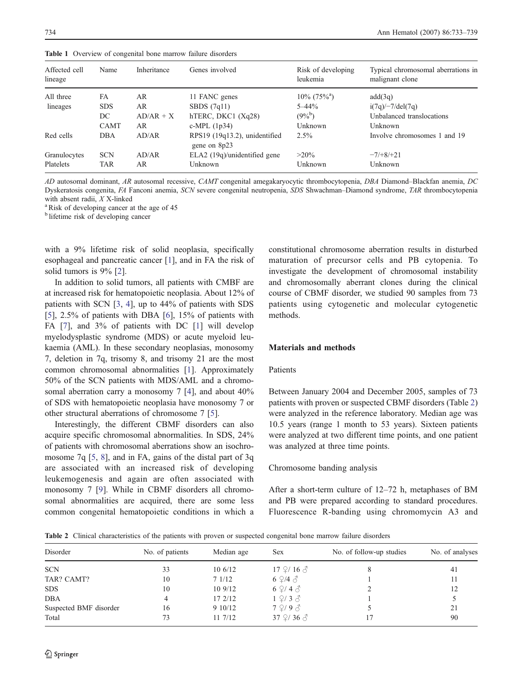| Affected cell<br>lineage | Name        | Inheritance | Genes involved                                           | Risk of developing<br>leukemia | Typical chromosomal aberrations in<br>malignant clone |
|--------------------------|-------------|-------------|----------------------------------------------------------|--------------------------------|-------------------------------------------------------|
| All three                | FA          | AR          | 11 FANC genes                                            | $10\%$ (75% <sup>a</sup> )     | add(3q)                                               |
| lineages                 | <b>SDS</b>  | AR          | SBDS $(7q11)$                                            | $5 - 44\%$                     | $i(7q)$ /-7/del(7q)                                   |
|                          | DC          | $AD/AR + X$ | hTERC, DKC1 $(Xq28)$                                     | $(9\%^b)$                      | Unbalanced translocations                             |
|                          | <b>CAMT</b> | AR          | c-MPL $(1p34)$                                           | Unknown                        | Unknown                                               |
| Red cells                | <b>DBA</b>  | AD/AR       | RPS19 (19q13.2), unidentified<br>$2.5\%$<br>gene on 8p23 |                                | Involve chromosomes 1 and 19                          |
| Granulocytes             | <b>SCN</b>  | AD/AR       | $ELA2$ (19q)/unidentified gene                           | $>20\%$                        | $-7/+8/+21$                                           |
| Platelets                | <b>TAR</b>  | AR          | Unknown                                                  | Unknown                        | Unknown                                               |

<span id="page-1-0"></span>Table 1 Overview of congenital bone marrow failure disorders

AD autosomal dominant, AR autosomal recessive, CAMT congenital amegakaryocytic thrombocytopenia, DBA Diamond–Blackfan anemia, DC Dyskeratosis congenita, FA Fanconi anemia, SCN severe congenital neutropenia, SDS Shwachman–Diamond syndrome, TAR thrombocytopenia

with absent radii,  $X$  X-linked  $a$ <sup>a</sup> Risk of developing cancer at the age of 45

<sup>b</sup> lifetime risk of developing cancer

with a 9% lifetime risk of solid neoplasia, specifically esophageal and pancreatic cancer [[1\]](#page-6-0), and in FA the risk of solid tumors is 9% [[2\]](#page-6-0).

In addition to solid tumors, all patients with CMBF are at increased risk for hematopoietic neoplasia. About 12% of patients with SCN [\[3](#page-6-0), [4](#page-6-0)], up to 44% of patients with SDS [\[5](#page-6-0)], 2.5% of patients with DBA [[6\]](#page-6-0), 15% of patients with FA [[7\]](#page-6-0), and 3% of patients with DC [[1\]](#page-6-0) will develop myelodysplastic syndrome (MDS) or acute myeloid leukaemia (AML). In these secondary neoplasias, monosomy 7, deletion in 7q, trisomy 8, and trisomy 21 are the most common chromosomal abnormalities [\[1\]](#page-6-0). Approximately 50% of the SCN patients with MDS/AML and a chromo-somal aberration carry a monosomy 7 [\[4](#page-6-0)], and about  $40\%$ of SDS with hematopoietic neoplasia have monosomy 7 or other structural aberrations of chromosome 7 [[5\]](#page-6-0).

Interestingly, the different CBMF disorders can also acquire specific chromosomal abnormalities. In SDS, 24% of patients with chromosomal aberrations show an isochromosome 7q [\[5](#page-6-0), [8\]](#page-6-0), and in FA, gains of the distal part of 3q are associated with an increased risk of developing leukemogenesis and again are often associated with monosomy 7 [\[9](#page-6-0)]. While in CBMF disorders all chromosomal abnormalities are acquired, there are some less common congenital hematopoietic conditions in which a constitutional chromosome aberration results in disturbed maturation of precursor cells and PB cytopenia. To investigate the development of chromosomal instability and chromosomally aberrant clones during the clinical course of CBMF disorder, we studied 90 samples from 73 patients using cytogenetic and molecular cytogenetic methods.

# Materials and methods

#### Patients

Between January 2004 and December 2005, samples of 73 patients with proven or suspected CBMF disorders (Table 2) were analyzed in the reference laboratory. Median age was 10.5 years (range 1 month to 53 years). Sixteen patients were analyzed at two different time points, and one patient was analyzed at three time points.

### Chromosome banding analysis

After a short-term culture of 12–72 h, metaphases of BM and PB were prepared according to standard procedures. Fluorescence R-banding using chromomycin A3 and

Table 2 Clinical characteristics of the patients with proven or suspected congenital bone marrow failure disorders

| Disorder               | No. of patients | Median age | <b>Sex</b>                            | No. of follow-up studies | No. of analyses |
|------------------------|-----------------|------------|---------------------------------------|--------------------------|-----------------|
| <b>SCN</b>             | 33              | 106/12     | $17 \frac{\circ}{4}$ / 16 $\circ$     | 8                        | 41              |
| TAR? CAMT?             | 10              | 71/12      | 69/43                                 |                          |                 |
| <b>SDS</b>             | 10              | $10\,9/12$ | $6 \frac{9}{4}$ $\sqrt{4}$            |                          | 12              |
| <b>DBA</b>             | 4               | 17 2/12    | $1 \, \n\mathcal{Q}/3 \, \mathcal{S}$ |                          |                 |
| Suspected BMF disorder | 16              | 9 10/12    | 7Q/9S                                 |                          |                 |
| Total                  |                 | 11 7/12    | 37 $9/36$ $\delta$                    | 17                       | 90              |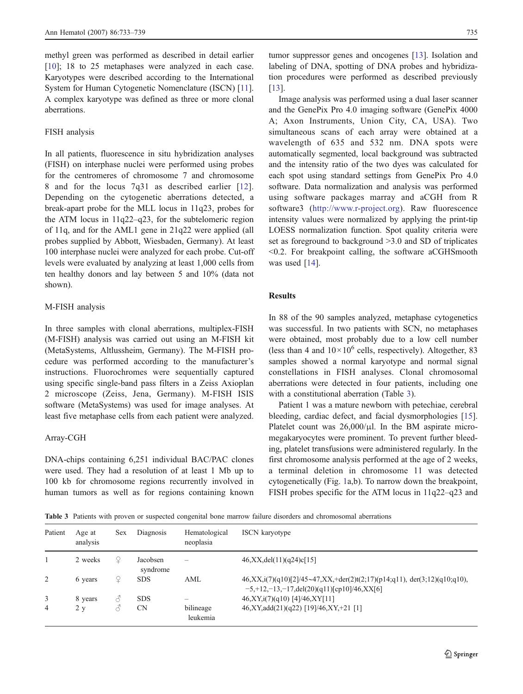<span id="page-2-0"></span>methyl green was performed as described in detail earlier [\[10](#page-6-0)]; 18 to 25 metaphases were analyzed in each case. Karyotypes were described according to the International System for Human Cytogenetic Nomenclature (ISCN) [[11](#page-6-0)]. A complex karyotype was defined as three or more clonal aberrations.

# FISH analysis

In all patients, fluorescence in situ hybridization analyses (FISH) on interphase nuclei were performed using probes for the centromeres of chromosome 7 and chromosome 8 and for the locus 7q31 as described earlier [[12](#page-6-0)]. Depending on the cytogenetic aberrations detected, a break-apart probe for the MLL locus in 11q23, probes for the ATM locus in 11q22–q23, for the subtelomeric region of 11q, and for the AML1 gene in 21q22 were applied (all probes supplied by Abbott, Wiesbaden, Germany). At least 100 interphase nuclei were analyzed for each probe. Cut-off levels were evaluated by analyzing at least 1,000 cells from ten healthy donors and lay between 5 and 10% (data not shown).

#### M-FISH analysis

In three samples with clonal aberrations, multiplex-FISH (M-FISH) analysis was carried out using an M-FISH kit (MetaSystems, Altlussheim, Germany). The M-FISH procedure was performed according to the manufacturer's instructions. Fluorochromes were sequentially captured using specific single-band pass filters in a Zeiss Axioplan 2 microscope (Zeiss, Jena, Germany). M-FISH ISIS software (MetaSystems) was used for image analyses. At least five metaphase cells from each patient were analyzed.

# Array-CGH

DNA-chips containing 6,251 individual BAC/PAC clones were used. They had a resolution of at least 1 Mb up to 100 kb for chromosome regions recurrently involved in human tumors as well as for regions containing known

tumor suppressor genes and oncogenes [\[13](#page-6-0)]. Isolation and labeling of DNA, spotting of DNA probes and hybridization procedures were performed as described previously [\[13](#page-6-0)].

Image analysis was performed using a dual laser scanner and the GenePix Pro 4.0 imaging software (GenePix 4000 A; Axon Instruments, Union City, CA, USA). Two simultaneous scans of each array were obtained at a wavelength of 635 and 532 nm. DNA spots were automatically segmented, local background was subtracted and the intensity ratio of the two dyes was calculated for each spot using standard settings from GenePix Pro 4.0 software. Data normalization and analysis was performed using software packages marray and aCGH from R software3 ([http://www.r-project.org\)](http://www.r-project.org). Raw fluorescence intensity values were normalized by applying the print-tip LOESS normalization function. Spot quality criteria were set as foreground to background >3.0 and SD of triplicates <0.2. For breakpoint calling, the software aCGHSmooth was used [[14](#page-6-0)].

# Results

In 88 of the 90 samples analyzed, metaphase cytogenetics was successful. In two patients with SCN, no metaphases were obtained, most probably due to a low cell number (less than 4 and  $10 \times 10^6$  cells, respectively). Altogether, 83 samples showed a normal karyotype and normal signal constellations in FISH analyses. Clonal chromosomal aberrations were detected in four patients, including one with a constitutional aberration (Table 3).

Patient 1 was a mature newborn with petechiae, cerebral bleeding, cardiac defect, and facial dysmorphologies [[15\]](#page-6-0). Platelet count was  $26,000/\mu$ l. In the BM aspirate micromegakaryocytes were prominent. To prevent further bleeding, platelet transfusions were administered regularly. In the first chromosome analysis performed at the age of 2 weeks, a terminal deletion in chromosome 11 was detected cytogenetically (Fig. [1a](#page-3-0),b). To narrow down the breakpoint, FISH probes specific for the ATM locus in 11q22–q23 and

Table 3 Patients with proven or suspected congenital bone marrow failure disorders and chromosomal aberrations

| Patient | Age at<br>analysis | Sex      | <b>Diagnosis</b>     | Hematological<br>neoplasia | <b>ISCN</b> karyotype                                                                                                           |
|---------|--------------------|----------|----------------------|----------------------------|---------------------------------------------------------------------------------------------------------------------------------|
|         | 2 weeks            | $\Omega$ | Jacobsen<br>syndrome | $\overline{\phantom{0}}$   | 46, XX, del(11)(q24)c[15]                                                                                                       |
| 2       | 6 years            | ¥        | <b>SDS</b>           | AML                        | $46, XX, i(7)(q10)[2]/45~47, XX, + der(2)t(2;17)(p14;q11), der(3;12)(q10;q10),$<br>$-5,+12,-13,-17,del(20)(q11)[cp10]/46,XX[6]$ |
| 3       | 8 years            | 8        | <b>SDS</b>           |                            | $46, XY, i(7)(q10)$ [4]/46,XY[11]                                                                                               |
| 4       | 2 y                | 8        | <b>CN</b>            | bilineage<br>leukemia      | 46,XY,add(21)(q22) [19]/46,XY,+21 [1]                                                                                           |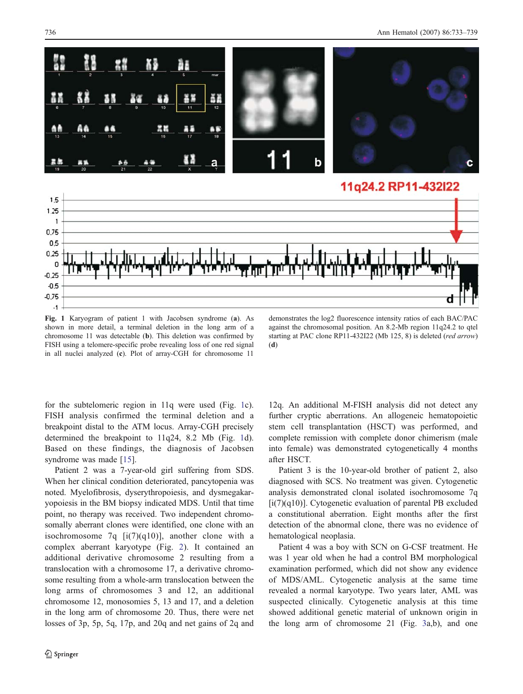$-0.75$  $-1$ 

<span id="page-3-0"></span>

Fig. 1 Karyogram of patient 1 with Jacobsen syndrome (a). As shown in more detail, a terminal deletion in the long arm of a chromosome 11 was detectable (b). This deletion was confirmed by FISH using a telomere-specific probe revealing loss of one red signal in all nuclei analyzed (c). Plot of array-CGH for chromosome 11

demonstrates the log2 fluorescence intensity ratios of each BAC/PAC against the chromosomal position. An 8.2-Mb region 11q24.2 to qtel starting at PAC clone RP11-432I22 (Mb 125, 8) is deleted (red arrow) (d)

for the subtelomeric region in 11q were used (Fig. 1c). FISH analysis confirmed the terminal deletion and a breakpoint distal to the ATM locus. Array-CGH precisely determined the breakpoint to 11q24, 8.2 Mb (Fig. 1d). Based on these findings, the diagnosis of Jacobsen syndrome was made [\[15](#page-6-0)].

Patient 2 was a 7-year-old girl suffering from SDS. When her clinical condition deteriorated, pancytopenia was noted. Myelofibrosis, dyserythropoiesis, and dysmegakaryopoiesis in the BM biopsy indicated MDS. Until that time point, no therapy was received. Two independent chromosomally aberrant clones were identified, one clone with an isochromosome 7q  $[i(7)(q10)]$ , another clone with a complex aberrant karyotype (Fig. [2](#page-4-0)). It contained an additional derivative chromosome 2 resulting from a translocation with a chromosome 17, a derivative chromosome resulting from a whole-arm translocation between the long arms of chromosomes 3 and 12, an additional chromosome 12, monosomies 5, 13 and 17, and a deletion in the long arm of chromosome 20. Thus, there were net losses of 3p, 5p, 5q, 17p, and 20q and net gains of 2q and

12q. An additional M-FISH analysis did not detect any further cryptic aberrations. An allogeneic hematopoietic stem cell transplantation (HSCT) was performed, and complete remission with complete donor chimerism (male into female) was demonstrated cytogenetically 4 months after HSCT.

Patient 3 is the 10-year-old brother of patient 2, also diagnosed with SCS. No treatment was given. Cytogenetic analysis demonstrated clonal isolated isochromosome 7q [i(7)(q10)]. Cytogenetic evaluation of parental PB excluded a constitutional aberration. Eight months after the first detection of the abnormal clone, there was no evidence of hematological neoplasia.

Patient 4 was a boy with SCN on G-CSF treatment. He was 1 year old when he had a control BM morphological examination performed, which did not show any evidence of MDS/AML. Cytogenetic analysis at the same time revealed a normal karyotype. Two years later, AML was suspected clinically. Cytogenetic analysis at this time showed additional genetic material of unknown origin in the long arm of chromosome 21 (Fig. [3](#page-4-0)a,b), and one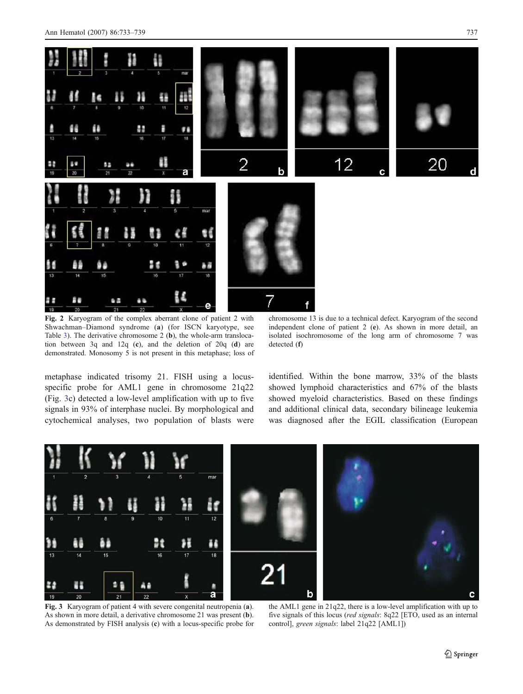<span id="page-4-0"></span>

Fig. 2 Karyogram of the complex aberrant clone of patient 2 with Shwachman–Diamond syndrome (a) (for ISCN karyotype, see Table [3\)](#page-2-0). The derivative chromosome 2 (b), the whole-arm translocation between 3q and 12q (c), and the deletion of 20q (d) are demonstrated. Monosomy 5 is not present in this metaphase; loss of

chromosome 13 is due to a technical defect. Karyogram of the second independent clone of patient 2 (e). As shown in more detail, an isolated isochromosome of the long arm of chromosome 7 was detected (f)

metaphase indicated trisomy 21. FISH using a locusspecific probe for AML1 gene in chromosome 21q22 (Fig. 3c) detected a low-level amplification with up to five signals in 93% of interphase nuclei. By morphological and cytochemical analyses, two population of blasts were identified. Within the bone marrow, 33% of the blasts showed lymphoid characteristics and 67% of the blasts showed myeloid characteristics. Based on these findings and additional clinical data, secondary bilineage leukemia was diagnosed after the EGIL classification (European



Fig. 3 Karyogram of patient 4 with severe congenital neutropenia (a). As shown in more detail, a derivative chromosome 21 was present (b). As demonstrated by FISH analysis (c) with a locus-specific probe for

the AML1 gene in 21q22, there is a low-level amplification with up to five signals of this locus (red signals: 8q22 [ETO, used as an internal control], green signals: label 21q22 [AML1])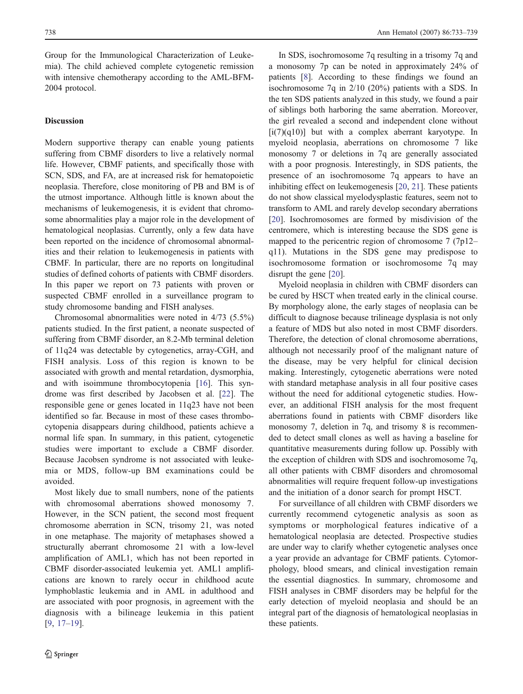Group for the Immunological Characterization of Leukemia). The child achieved complete cytogenetic remission with intensive chemotherapy according to the AML-BFM-2004 protocol.

# Discussion

Modern supportive therapy can enable young patients suffering from CBMF disorders to live a relatively normal life. However, CBMF patients, and specifically those with SCN, SDS, and FA, are at increased risk for hematopoietic neoplasia. Therefore, close monitoring of PB and BM is of the utmost importance. Although little is known about the mechanisms of leukemogenesis, it is evident that chromosome abnormalities play a major role in the development of hematological neoplasias. Currently, only a few data have been reported on the incidence of chromosomal abnormalities and their relation to leukemogenesis in patients with CBMF. In particular, there are no reports on longitudinal studies of defined cohorts of patients with CBMF disorders. In this paper we report on 73 patients with proven or suspected CBMF enrolled in a surveillance program to study chromosome banding and FISH analyses.

Chromosomal abnormalities were noted in 4/73 (5.5%) patients studied. In the first patient, a neonate suspected of suffering from CBMF disorder, an 8.2-Mb terminal deletion of 11q24 was detectable by cytogenetics, array-CGH, and FISH analysis. Loss of this region is known to be associated with growth and mental retardation, dysmorphia, and with isoimmune thrombocytopenia [[16\]](#page-6-0). This syndrome was first described by Jacobsen et al. [[22\]](#page-6-0). The responsible gene or genes located in 11q23 have not been identified so far. Because in most of these cases thrombocytopenia disappears during childhood, patients achieve a normal life span. In summary, in this patient, cytogenetic studies were important to exclude a CBMF disorder. Because Jacobsen syndrome is not associated with leukemia or MDS, follow-up BM examinations could be avoided.

Most likely due to small numbers, none of the patients with chromosomal aberrations showed monosomy 7. However, in the SCN patient, the second most frequent chromosome aberration in SCN, trisomy 21, was noted in one metaphase. The majority of metaphases showed a structurally aberrant chromosome 21 with a low-level amplification of AML1, which has not been reported in CBMF disorder-associated leukemia yet. AML1 amplifications are known to rarely occur in childhood acute lymphoblastic leukemia and in AML in adulthood and are associated with poor prognosis, in agreement with the diagnosis with a bilineage leukemia in this patient [\[9](#page-6-0), [17](#page-6-0)–[19](#page-6-0)].

In SDS, isochromosome 7q resulting in a trisomy 7q and a monosomy 7p can be noted in approximately 24% of patients [[8\]](#page-6-0). According to these findings we found an isochromosome 7q in 2/10 (20%) patients with a SDS. In the ten SDS patients analyzed in this study, we found a pair of siblings both harboring the same aberration. Moreover, the girl revealed a second and independent clone without  $[i(7)(q10)]$  but with a complex aberrant karyotype. In myeloid neoplasia, aberrations on chromosome 7 like monosomy 7 or deletions in 7q are generally associated with a poor prognosis. Interestingly, in SDS patients, the presence of an isochromosome 7q appears to have an inhibiting effect on leukemogenesis [[20,](#page-6-0) [21\]](#page-6-0). These patients do not show classical myelodysplastic features, seem not to transform to AML and rarely develop secondary aberrations [\[20](#page-6-0)]. Isochromosomes are formed by misdivision of the centromere, which is interesting because the SDS gene is mapped to the pericentric region of chromosome 7 (7p12– q11). Mutations in the SDS gene may predispose to isochromosome formation or isochromosome 7q may disrupt the gene [\[20](#page-6-0)].

Myeloid neoplasia in children with CBMF disorders can be cured by HSCT when treated early in the clinical course. By morphology alone, the early stages of neoplasia can be difficult to diagnose because trilineage dysplasia is not only a feature of MDS but also noted in most CBMF disorders. Therefore, the detection of clonal chromosome aberrations, although not necessarily proof of the malignant nature of the disease, may be very helpful for clinical decision making. Interestingly, cytogenetic aberrations were noted with standard metaphase analysis in all four positive cases without the need for additional cytogenetic studies. However, an additional FISH analysis for the most frequent aberrations found in patients with CBMF disorders like monosomy 7, deletion in 7q, and trisomy 8 is recommended to detect small clones as well as having a baseline for quantitative measurements during follow up. Possibly with the exception of children with SDS and isochromosome 7q, all other patients with CBMF disorders and chromosomal abnormalities will require frequent follow-up investigations and the initiation of a donor search for prompt HSCT.

For surveillance of all children with CBMF disorders we currently recommend cytogenetic analysis as soon as symptoms or morphological features indicative of a hematological neoplasia are detected. Prospective studies are under way to clarify whether cytogenetic analyses once a year provide an advantage for CBMF patients. Cytomorphology, blood smears, and clinical investigation remain the essential diagnostics. In summary, chromosome and FISH analyses in CBMF disorders may be helpful for the early detection of myeloid neoplasia and should be an integral part of the diagnosis of hematological neoplasias in these patients.